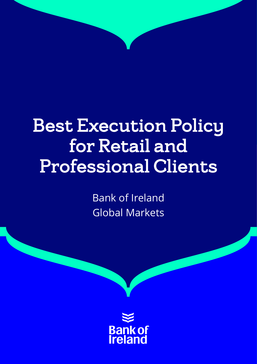# Best Execution Policy for Retail and Professional Clients

Bank of Ireland Global Markets

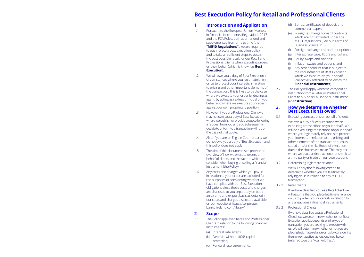# **Best Execution Policy for Retail and Professional Clients**

# **1 Introduction and Application**

- 1.1 Pursuant to the European Union (Markets in Financial Instruments) Regulations 2017 and the FCA Rules, both as amended and supplemented from time to time (the **"MiFID Regulations"**), we are required to put in place a best execution policy and to take all sufficient steps to obtain the best possible result for our Retail and Professional clients when executing orders on their behalf (which is known as **Best Execution**).
- 1.2 We will owe you a duty of Best Execution in circumstances where you legitimately rely on us to protect your interests in relation to pricing and other important elements of the transaction. This is likely to be the case where we execute your order by dealing as agent, by acting as riskless principal on your behalf and where we execute your order against our own proprietary position.
- 1.3 However, if you are Professional Client we may not owe you a duty of Best Execution where we publish or provide a quote following a request from you and you subsequently decide to enter into a transaction with us on the basis of that quote.
- 1.4 Also, if you are an Eligible Counterparty we do not owe you a duty of Best Execution and this policy does not apply.
- 1.5 The aim of this document is to provide an overview of how we execute orders on behalf of clients and the factors which we consider when buying or selling a financial instrument (the Policy).
- 1.6 Any costs and charges which you pay us in relation to your order are excluded for the purposes of considering whether we have complied with our Best Execution obligations since these costs and charges are disclosed to you separately on both an ex ante and ex post basis as detailed in our costs and charges disclosure available on our website at https://corporate. bankofireland.com/library/.

# **2 Scope**

- 2.1 The Policy applies to Retail and Professional Clients in relation to the following financial instruments:
	- (a) Interest rate swaps;
	- (b) Deposits without 100% capital protection;
	- (c) Forward rate agreements;
- (d) Bonds, certificates of deposit and commercial paper;
- (e) Foreign exchange forward contracts which are not excluded under the MiFID Regulations (See our Terms of Business, clause 11.5)
- (f) Foreign exchange call and put options;
- (g) Interest rate caps, floors and collars;
- (h) Equity swaps and options;
- (i) Inflation swaps and options; and
- (j) Any other product that is subject to the requirements of Best Execution which we execute on your behalf (collectively referred to below as the **Financial Instruments**).
- 2.2 The Policy will apply when we carry out an instruction from a Retail or Professional Client to buy or sell a Financial Instrument (an **Instruction**)

### **3. How we determine whether Best Execution is owed**

3.1 Executing transactions on behalf of clients

We owe a duty of Best Execution when executing 'transactions on your behalf'. We will be executing transactions on your behalf where you legitimately rely on us to protect your interests in relation to the pricing and other elements of the transaction such as speed and/or the likelihood of execution due to the choices we make. This may occur where we place an instruction, transmit it to a third party or trade on our own account.

3.2 Determining legitimate reliance

We will apply the following criteria to determine whether you are legitimately relying on us in relation to any MiFID II transaction:

3.2.1 Retail clients

If we have classified you as a Retail client we will assume that you place legitimate reliance on us to protect your interests in relation to all transactions in financial instruments.

3.2.2 Professional Clients

If we have classified you as a Professional Client how we determine whether or not Best Execution applies depends on the type of transaction you are seeking to execute with us. We will determine whether or not you are placing legitimate reliance on us by considering the non exhaustive factors outlined below (referred to as the "Four Fold Test").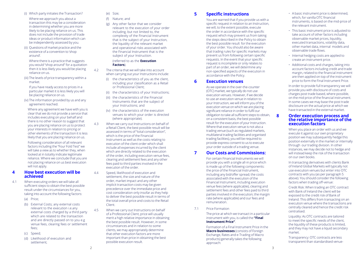(i) Which party initiates the Transaction?

 Where we approach you about a transaction this may be a consideration in determining whether you are more likely to be placing reliance on us. This does not include the provision of trade ideas or product information which can be independently assessed by you.

(ii) Questions of market practice and the existence of a convention to 'shop around'.

 Where there is a practice that suggests you would "shop around" for a quotation then it is less likely you would be placing reliance on us.

(iii) The levels of price transparency within a market.

 If you have ready access to prices in a particular market it is less likely you will be placing reliance on us.

 (iv) The information provided by us and any agreement reached.

 Where any agreement we have with you is clear that we do not provide a service that includes executing on your behalf and there is no other reason to suggest that you are placing reliance on us to protect your interests in relation to pricing or other elements of the transaction it is less likely that you are placing reliance on us.

 Following consideration of all relevant factors including the "Four Fold Test" we will take a view as to whether they, when looked at in totality indicate legitimate reliance. Where we conclude that you are not placing reliance on us best execution will not apply.

### **4 How best execution will be achieved**

- 4.1 When executing orders we will take all sufficient steps to obtain the best possible result under the circumstances for you, taking into account the following factors:
	- (a) Price;
	- (b) External Costs; any external costs relevant to the execution i.e.any external costs charged by a third party which are related to the transaction and are directly passed on to you e.g venue fees, clearing fees or settlement fees;
	- (c) Speed;
	- (d) Likelihood of execution and settlement;
- (e) Size;
- (f) Nature; and
- (g) Any other factor that we consider relevant to the execution of your order including, but not limited to, the complexity of the Financial Instrument that is the subject of your Instruction, the liquidity of the relevant market and operational risks associated with the Financial Instrument that is the subject of your Instruction.

### (referred to as the **Execution Factors**).

4.2 The criteria that we will take into account when carrying out your Instructions include:

- (i) the characteristics of you as the client, including your classification as a Retail or Professional Client;
- (ii) the characteristics of your Instructions;
- (iii) the characteristics of the Financial Instruments that are the subject of your Instructions; and
- (iv) the characteristics of the execution venues to which your order is directed (where appropriate).
- 4.3 When we carry out Instructions on behalf of a Retail Client, the best possible result will be assessed in terms of "total consideration", which is the price of the Financial Instrument as well as the costs relating to execution of the client order which shall include all expenses incurred by the client which are directly related to the execution of the order, including execution venue fees, clearing and settlement fees and any other fees paid to third parties involved in the execution of the order.
- 4.4 Speed, likelihood of execution and settlement, the size and nature of the order, market impact and any other implicit transaction costs may be given precedence over the immediate price and cost consideration only insofar as they help to deliver the best possible result in terms of the total overall price and costs to the Retail Client.
- 4.5 When we carry out Instructions on behalf of a Professional Client, price will usually merit a high relative importance in obtaining the best possible result. However, in some circumstances and in relation to some clients, we may appropriately determine that other execution factors are more important than price in obtaining the best possible execution result.

# **5 Specific instructions**

You are warned that if you provide us with a specific request in relation to an Instruction, we will, to the extent possible, execute the order in accordance with the specific request which may prevent us from taking the steps described in the Policy to obtain the best possible result for the execution of your order. You should also be aware that trading rules for specific markets may prevent us from following certain specific requests. In the event that your specific request is incomplete or only relates to part of an order, we will determine any non-specified aspects of the execution in accordance with the Policy.

# **6 Execution venues**

As we operate in the over-the-counter (OTC) market, we typically do not use execution venues. However, if we decide to use an execution venue in relation to your Instruction, we will inform you of the execution venue on which we are placing significant reliance in order to fulfil our obligation to take all sufficient steps to obtain, on a consistent basis, the best possible result for the execution of your Instruction. Where that execution venue is not also a trading venue (such as regulated markets, multilateral trading facilities and organised trading facilities), you will be required to provide express consent to us to execute your order outside of a trading venue.

# **7 Our Costs and Commissions:**

For certain Financial Instruments we will provide you with a single all-in price which is made up of the following components: the price of the Financial Instrument, including any bid/offer spread; the costs associated with the execution of the Financial Instrument, including execution venue fees (where applicable), clearing and settlement fees and other fees paid to third parties involved in the execution; the margin rate (where applicable) and our fees and remuneration.

# 7.1 Price Formation

The price at which we transact in a particular instrument with you, is called the **"Final Instrument Price"**.

Formation of a Final Instrument Price in the **Macro businesses** (consists of Foreign Exchange, Rates and e-Trading of Macro products) generally takes the following approach:

- A basic instrument price is determined, which, for vanilla OTC financial instruments, is based on the mid-price of the relevant instrument.
- This basic instrument price is adjusted to take account of other factors including observable market prices, liquidity, executed transactions, volatility data, other market data, internal models and observable trade flows.
- Internal hedging costs are applied to create an instrument price.
- Additional costs and charges, taking into account factors including credit and trade margin, related to the financial instrument are then applied on top of the instrument price to form the Final Instrument Price.

In order to provide full transparency we will provide you with disclosure of costs and charges post trade based, where possible, on the mid price of the financial instrument. In some cases we may base the post trade disclosure on the actual price at which we have transacted in the external market.

### **8 Order execution process and the relative importance of the execution factors**

When you place an order with us and we execute it against our own proprietary position we may subsequently hedge this position externally in the market or internally through our trading division. In other instances, we may decide not to hedge and will instead keep the risk of the transaction on our own books.

In transacting derivatives with clients Bank of Ireland Global Markets will typically not use execution venues but enter into OTC contracts with you (as per paragraph 5 above). You should consider the following factors when trading off-venue:

Credit Risk: When trading an OTC contract with Bank of Ireland the client will be exposed to the credit risk of Bank of Ireland. This differs from transacting on an execution venue where the transactions are centrally cleared and hence the credit risk centralised.

Liquidity: As OTC contracts are tailored to meet the specific needs of the client, the liquidity of these products is limited, and they may not have a liquid secondary market.

Transparency: OTC contracts are less transparent than standardised venue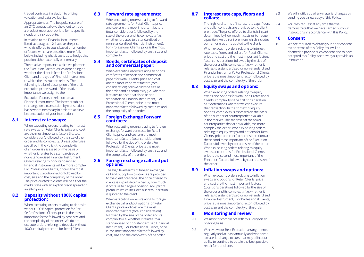traded contracts in relation to pricing, valuation and data availability.

Appropriateness: The bespoke nature of an OTC contract allows the client to trade a product most appropriate for its specific needs and risk appetite.

In relation to the Financial Instruments listed at paragraph 2.1 above, the price which is offered to you is based on a number of factors which are described more fully below, including what it costs us to hedge this position either externally or internally.

The relative importance which we place on the Execution Factors varies depending on whether the client is Retail or Professional Client and the type of Financial Instrument to which the Instruction relates. The following is a brief description of the order execution process and of the relative importance we assign to the

Execution Factors in relation to each Financial Instrument. The latter is subject to change on a transaction by transaction basis where necessary in order to achieve best execution of your Instruction.

# **8.1 Interest rate swaps:**

When executing orders relating to interest rate swaps for Retail Clients, price and cost are the most important factors (i.e. total) consideration), followed by the size of the order and its complexity. Unless otherwise specified in the Policy, the complexity of an order is assessed on the basis of whether it relates to a standardised or non-standardised Financial Instrument. Orders relating to non-standardised Financial Instruments will be more complex. For Professional Clients, price is the most important Execution Factor followed by cost, size and the complexity of the order. The price quoted to clients will be either the market rate with an explicit credit spread or an all-in price.

## **8.2 Deposits without 100% capital protection:**

When executing orders relating to deposits without 100% capital protection for Per Se Professional Clients, price is the most important factor followed by cost, size and the complexity of the order. We do not execute orders relating to deposits without 100% capital protection for Retail Clients.

## **8.3 Forward rate agreements:**

When executing orders relating to forward rate agreements for Retail Clients, price and cost are the most important factors (total consideration), followed by the size of the order and its complexity (i.e. whether it relates to a standardised or non-standardised Financial Instrument). For Professional Clients, price is the most important factor followed by cost, size and complexity.

# **8.4 Bonds, certificates of deposit and commercial paper:**

When executing orders relating to bonds, certificates of deposit and commercial paper for Retail Clients, price and cost are the most important factors (total consideration), followed by the size of the order and its complexity (i.e. whether it relates to a standardised or nonstandardised Financial Instrument). For Professional Clients, price is the most important factor followed by cost, size and the complexity of the order.

### **8.5 Foreign Exchange Forward contracts:**

When executing orders relating to foreign exchange forward contracts for Retail Clients, price and cost are the most important factors (total consideration), followed by the size of the order. For Professional Clients, price is the most important factor followed by cost, size and the complexity of the order.

## **8.6 Foreign exchange call and put options:**

The high level terms of foreign exchange call and put option contracts are provided to the client pre trade. The price offered to clients is in part determined by how much it costs us to hedge a position. An upfront premium which includes our remuneration is quoted to the client.

When executing orders relating to foreign exchange call and put options for Retail Clients, price and cost are the most important factors (total consideration), followed by the size of the order and its complexity (i.e. whether it relates to a standardised or non-standardised Financial Instrument). For Professional Clients, price is the most important factor followed by cost, size and the complexity of the order.

### **8.7 Interest rate caps, floors and collars:**

The high level terms of interest rate caps, floors and collar contracts are provided to the client pre trade. The price offered to clients is in part determined by how much it costs us to hedge a position. An upfront premium which includes our remuneration is quoted to the client.

When executing orders relating to interest rate caps, floors and collars for Retail Clients, price and cost are the most important factors (total consideration), followed by the size of the order and its complexity (i.e. whether it relates to a standardised or non-standardised Financial Instrument). For Professional Clients, price is the most important factor followed by cost, size and the complexity of the order.

## **8.8 Equity swaps and options:**

When executing orders relating to equity swaps and options for Retail and Professional Clients, complexity is the first consideration as it determines whether we can execute the transaction. In the context of equity options, complexity is assessed on the basis of the number of counterparties available in the market. This means that the fewer counterparties that are available, the more complex the order. When executing orders relating to equity swaps and options for Retail Clients, price and cost (total consideration) are the second most important of the Execution Factors followed by cost and size of the order. When executing orders relating to equity swaps and options for Professional Clients, price is the second most important of the Execution Factors followed by cost and size of the order.

# **8.9 Inflation swaps and options:**

When executing orders relating to inflation swaps and options for Retail Clients, price and cost are the most important factors (total consideration), followed by the size of the order and its complexity (i.e. whether it relates to a standardised or non-standardised Financial Instrument). For Professional Clients, price is the most important factor followed by cost, size and the complexity of the order.

# **9 Monitoring and review**

- 9.1 We monitor compliance with this Policy on an ongoing basis.
- 4 and the contract of the contract of the contract of the contract of the contract of the contract of the contract of the contract of the contract of the contract of the contract of the contract of the contract of the cont 9.2 We review our Best Execution arrangements regularly and at least annually and whenever a material change occurs that may affect our ability to continue to obtain the best possible result for our clients.
- 9.3 We will notify you of any material changes by sending you a new copy of this Policy.
- 9.4 You may request at any time that we demonstrate that we have carried out your Instructions in accordance with this Policy.

# **10 Consent**

10.1 We are required to obtain your prior consent to the terms of this Policy. You will be deemed to provide such consent and to have accepted this Policy whenever you provide an Instruction.